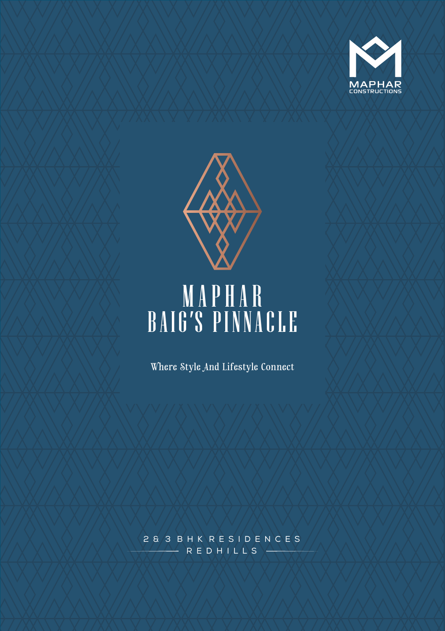



# MAPHAR BAIG'S PINNACLE

Where Style And Lifestyle Connect

R E D H I L L S 2 & 3 B H K R E S I D E N C E S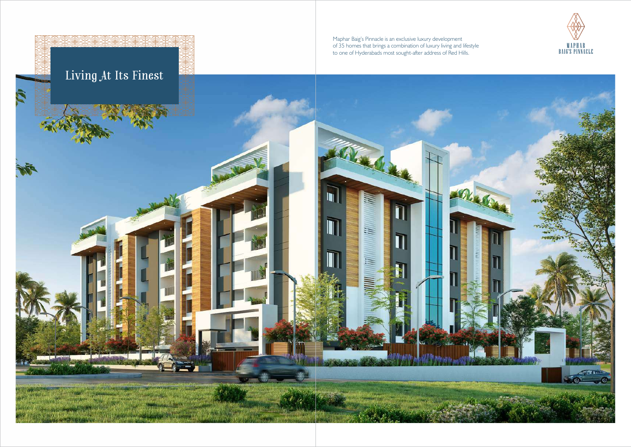

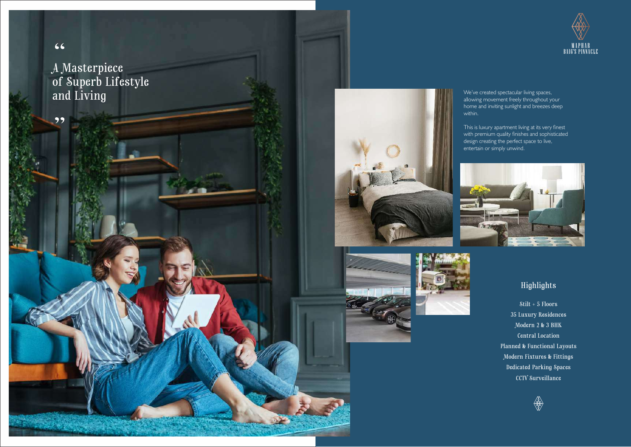$66$ 

99

A Masterpiece of Superb Lifestyle  $and\,{\rm Living} \,$   $\,$  We've created spectacular living spaces, allowing movement freely throughout your set of  $\,$ 







allowing movement freely throughout your home and inviting sunlight and breezes deep within.

This is luxury apartment living at its very finest with premium quality finishes and sophisticated design creating the perfect space to live, entertain or simply unwind.



## Highlights

Stilt + 5 Floors 35 Luxury Residences Modern 2 & 3 BHK Central Location Planned & Functional Layouts Modern Fixtures & Fittings Dedicated Parking Spaces CCTV Surveillance



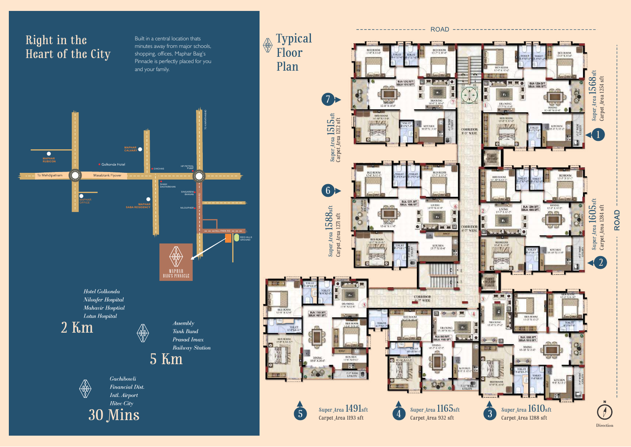Built in a central location thats minutes away from major schools, shopping, offices, Maphar Baig's Pinnacle is perfectly placed for you and your family.

Gachibowli **Financial Dist.** Intl. Airport **Hitec City** 30 Mins





2 Km



5 Km

*Assembly* **Tank Bund** Prasad Imax Railway Station









Hotel Golkonda Niloufer Hospital Mahavir Hosptial Lotus Hospital







#### ROAD -------------------------

 $\begin{minipage}{.4\linewidth} \textbf{Direction} \end{minipage}$ 

Typical Floor Plan